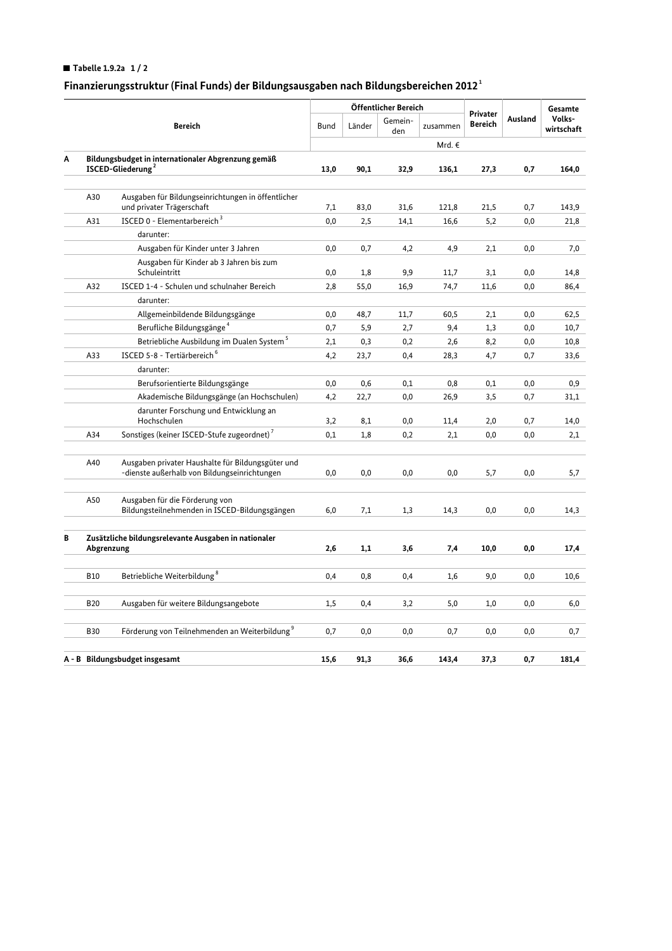## Tabelle 1.9.2a  $1/2$

## Finanzierungsstruktur (Final Funds) der Bildungsausgaben nach Bildungsbereichen 2012<sup>1</sup>

|                                |                                                                                     |                                                                                                   |             | Öffentlicher Bereich |                |          |                            |         | Gesamte              |
|--------------------------------|-------------------------------------------------------------------------------------|---------------------------------------------------------------------------------------------------|-------------|----------------------|----------------|----------|----------------------------|---------|----------------------|
|                                | <b>Bereich</b>                                                                      |                                                                                                   | <b>Bund</b> | Länder               | Gemein-<br>den | zusammen | Privater<br><b>Bereich</b> | Ausland | Volks-<br>wirtschaft |
|                                |                                                                                     |                                                                                                   |             |                      |                | Mrd. €   |                            |         |                      |
| Α                              | Bildungsbudget in internationaler Abgrenzung gemäß<br>ISCED-Gliederung <sup>2</sup> |                                                                                                   | 13,0        | 90,1                 | 32,9           | 136,1    | 27,3                       | 0,7     | 164,0                |
|                                |                                                                                     |                                                                                                   |             |                      |                |          |                            |         |                      |
|                                | A30                                                                                 | Ausgaben für Bildungseinrichtungen in öffentlicher<br>und privater Trägerschaft                   | 7,1         | 83,0                 | 31,6           | 121,8    | 21,5                       | 0,7     | 143,9                |
|                                | A31                                                                                 | ISCED 0 - Elementarbereich <sup>3</sup>                                                           | 0,0         | 2,5                  | 14,1           | 16,6     | 5,2                        | 0,0     | 21,8                 |
|                                |                                                                                     | darunter:                                                                                         |             |                      |                |          |                            |         |                      |
|                                |                                                                                     | Ausgaben für Kinder unter 3 Jahren                                                                | 0,0         | 0,7                  | 4,2            | 4,9      | 2,1                        | 0,0     | 7,0                  |
|                                |                                                                                     | Ausgaben für Kinder ab 3 Jahren bis zum<br>Schuleintritt                                          | 0,0         | 1,8                  | 9,9            | 11,7     | 3,1                        | 0,0     | 14,8                 |
|                                | A32                                                                                 | ISCED 1-4 - Schulen und schulnaher Bereich                                                        | 2,8         | 55,0                 | 16,9           | 74,7     | 11,6                       | 0,0     | 86,4                 |
|                                |                                                                                     | darunter:                                                                                         |             |                      |                |          |                            |         |                      |
|                                |                                                                                     | Allgemeinbildende Bildungsgänge                                                                   | 0,0         | 48,7                 | 11,7           | 60,5     | 2,1                        | 0,0     | 62,5                 |
|                                |                                                                                     | Berufliche Bildungsgänge <sup>4</sup>                                                             | 0,7         | 5,9                  | 2,7            | 9,4      | 1,3                        | 0,0     | 10,7                 |
|                                |                                                                                     | Betriebliche Ausbildung im Dualen System <sup>5</sup>                                             | 2,1         | 0,3                  | 0,2            | 2,6      | 8,2                        | 0,0     | 10,8                 |
|                                | A33                                                                                 | ISCED 5-8 - Tertiärbereich <sup>6</sup>                                                           | 4,2         | 23,7                 | 0,4            | 28,3     | 4,7                        | 0,7     | 33,6                 |
|                                |                                                                                     | darunter:                                                                                         |             |                      |                |          |                            |         |                      |
|                                |                                                                                     | Berufsorientierte Bildungsgänge                                                                   | 0,0         | 0,6                  | 0,1            | 0,8      | 0,1                        | 0,0     | 0,9                  |
|                                |                                                                                     | Akademische Bildungsgänge (an Hochschulen)                                                        | 4,2         | 22,7                 | 0,0            | 26,9     | 3,5                        | 0,7     | 31,1                 |
|                                |                                                                                     | darunter Forschung und Entwicklung an                                                             |             |                      |                |          |                            |         |                      |
|                                |                                                                                     | Hochschulen                                                                                       | 3,2         | 8,1                  | 0,0            | 11,4     | 2,0                        | 0,7     | 14,0                 |
|                                | A34                                                                                 | Sonstiges (keiner ISCED-Stufe zugeordnet) <sup>7</sup>                                            | 0,1         | 1,8                  | 0,2            | 2,1      | 0,0                        | 0,0     | 2,1                  |
|                                | A40                                                                                 | Ausgaben privater Haushalte für Bildungsgüter und<br>-dienste außerhalb von Bildungseinrichtungen | $_{0,0}$    | 0,0                  | 0,0            | 0,0      | 5,7                        | 0,0     | 5,7                  |
|                                | A50                                                                                 | Ausgaben für die Förderung von<br>Bildungsteilnehmenden in ISCED-Bildungsgängen                   | 6,0         | 7,1                  | 1,3            | 14,3     | 0,0                        | 0,0     | 14,3                 |
| В                              | Zusätzliche bildungsrelevante Ausgaben in nationaler<br>Abgrenzung                  |                                                                                                   | 2,6         | 1,1                  | 3,6            | 7,4      | 10,0                       | 0,0     | 17,4                 |
|                                |                                                                                     |                                                                                                   |             |                      |                |          |                            |         |                      |
|                                | <b>B10</b>                                                                          | Betriebliche Weiterbildung <sup>8</sup>                                                           | 0,4         | 0,8                  | 0,4            | 1,6      | 9,0                        | 0,0     | 10,6                 |
|                                | <b>B20</b>                                                                          | Ausgaben für weitere Bildungsangebote                                                             | 1,5         | 0,4                  | 3,2            | 5,0      | 1,0                        | 0,0     | 6,0                  |
|                                | <b>B30</b>                                                                          | Förderung von Teilnehmenden an Weiterbildung <sup>9</sup>                                         | 0,7         | 0,0                  | 0,0            | 0,7      | 0,0                        | 0,0     | 0,7                  |
|                                |                                                                                     |                                                                                                   |             |                      |                |          |                            |         |                      |
| A - B Bildungsbudget insgesamt |                                                                                     |                                                                                                   | 15,6        | 91,3                 | 36.6           | 143.4    | 37,3                       | 0,7     | 181,4                |